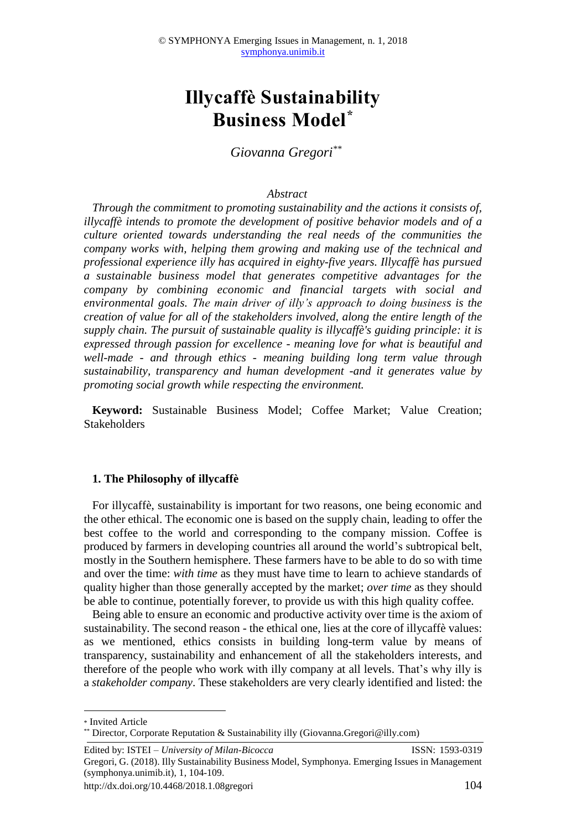# **Illycaffè Sustainability Business Model\***

*Giovanna Gregori\*\**

#### *Abstract*

*Through the commitment to promoting sustainability and the actions it consists of, illycaffè intends to promote the development of positive behavior models and of a culture oriented towards understanding the real needs of the communities the company works with, helping them growing and making use of the technical and professional experience illy has acquired in eighty-five years. Illycaffè has pursued a sustainable business model that generates competitive advantages for the company by combining economic and financial targets with social and environmental goals. The main driver of illy's approach to doing business is the creation of value for all of the stakeholders involved, along the entire length of the supply chain. The pursuit of sustainable quality is illycaffè's guiding principle: it is expressed through passion for excellence - meaning love for what is beautiful and well-made - and through ethics - meaning building long term value through sustainability, transparency and human development -and it generates value by promoting social growth while respecting the environment.*

**Keyword:** Sustainable Business Model; Coffee Market; Value Creation; Stakeholders

#### **1. The Philosophy of illycaffè**

For illycaffè, sustainability is important for two reasons, one being economic and the other ethical. The economic one is based on the supply chain, leading to offer the best coffee to the world and corresponding to the company mission. Coffee is produced by farmers in developing countries all around the world's subtropical belt, mostly in the Southern hemisphere. These farmers have to be able to do so with time and over the time: *with time* as they must have time to learn to achieve standards of quality higher than those generally accepted by the market; *over time* as they should be able to continue, potentially forever, to provide us with this high quality coffee.

Being able to ensure an economic and productive activity over time is the axiom of sustainability. The second reason - the ethical one, lies at the core of illycaffè values: as we mentioned, ethics consists in building long-term value by means of transparency, sustainability and enhancement of all the stakeholders interests, and therefore of the people who work with illy company at all levels. That's why illy is a *stakeholder company*. These stakeholders are very clearly identified and listed: the

**.** 

<sup>\*</sup> Invited Article

<sup>\*\*</sup> Director, Corporate Reputation & Sustainability illy (Giovanna.Gregori@illy.com)

Edited by: ISTEI – *University of Milan-Bicocca* ISSN: 1593-0319

Gregori, G. (2018). Illy Sustainability Business Model, Symphonya. Emerging Issues in Management (symphonya.unimib.it), 1, 104-109.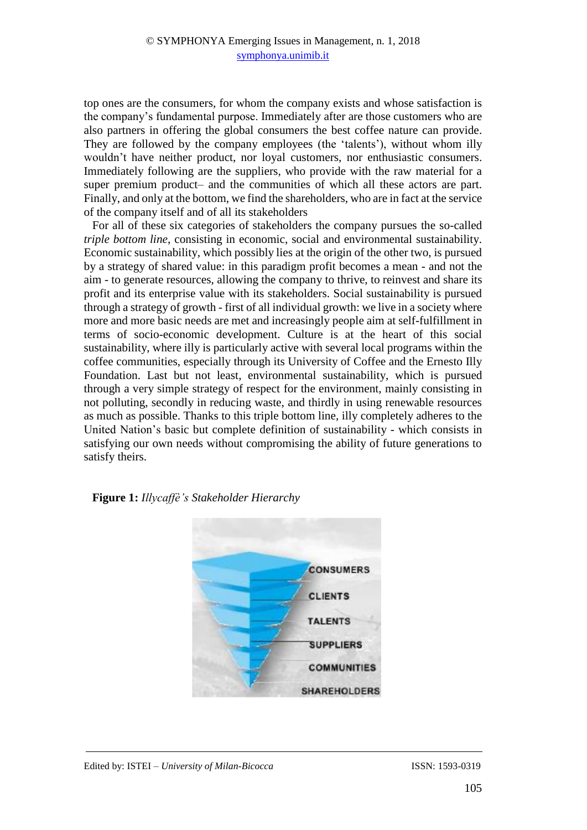top ones are the consumers, for whom the company exists and whose satisfaction is the company's fundamental purpose. Immediately after are those customers who are also partners in offering the global consumers the best coffee nature can provide. They are followed by the company employees (the 'talents'), without whom illy wouldn't have neither product, nor loyal customers, nor enthusiastic consumers. Immediately following are the suppliers, who provide with the raw material for a super premium product– and the communities of which all these actors are part. Finally, and only at the bottom, we find the shareholders, who are in fact at the service of the company itself and of all its stakeholders

For all of these six categories of stakeholders the company pursues the so-called *triple bottom line*, consisting in economic, social and environmental sustainability. Economic sustainability, which possibly lies at the origin of the other two, is pursued by a strategy of shared value: in this paradigm profit becomes a mean - and not the aim - to generate resources, allowing the company to thrive, to reinvest and share its profit and its enterprise value with its stakeholders. Social sustainability is pursued through a strategy of growth - first of all individual growth: we live in a society where more and more basic needs are met and increasingly people aim at self-fulfillment in terms of socio-economic development. Culture is at the heart of this social sustainability, where illy is particularly active with several local programs within the coffee communities, especially through its University of Coffee and the Ernesto Illy Foundation. Last but not least, environmental sustainability, which is pursued through a very simple strategy of respect for the environment, mainly consisting in not polluting, secondly in reducing waste, and thirdly in using renewable resources as much as possible. Thanks to this triple bottom line, illy completely adheres to the United Nation's basic but complete definition of sustainability - which consists in satisfying our own needs without compromising the ability of future generations to satisfy theirs.



**Figure 1:** *Illycaffè's Stakeholder Hierarchy*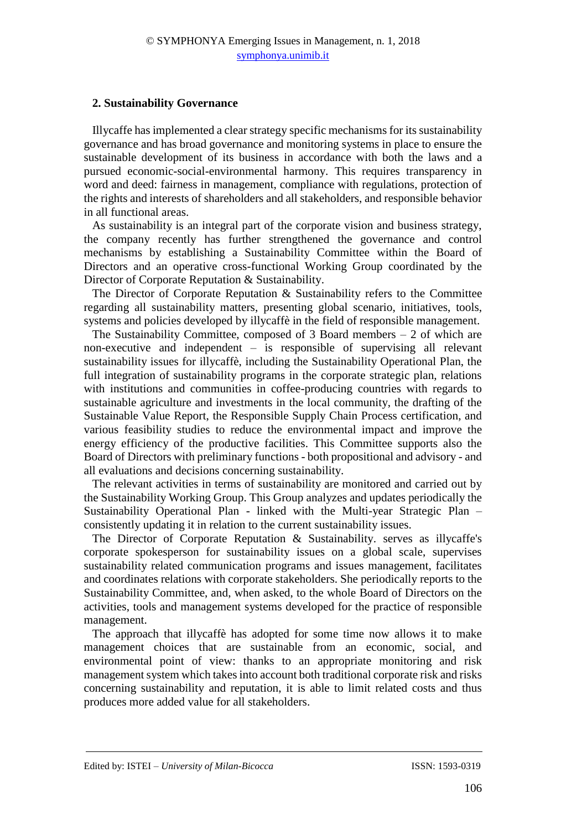# **2. Sustainability Governance**

Illycaffe has implemented a clear strategy specific mechanisms for its sustainability governance and has broad governance and monitoring systems in place to ensure the sustainable development of its business in accordance with both the laws and a pursued economic-social-environmental harmony. This requires transparency in word and deed: fairness in management, compliance with regulations, protection of the rights and interests of shareholders and all stakeholders, and responsible behavior in all functional areas.

As sustainability is an integral part of the corporate vision and business strategy, the company recently has further strengthened the governance and control mechanisms by establishing a Sustainability Committee within the Board of Directors and an operative cross-functional Working Group coordinated by the Director of Corporate Reputation & Sustainability.

The Director of Corporate Reputation & Sustainability refers to the Committee regarding all sustainability matters, presenting global scenario, initiatives, tools, systems and policies developed by illycaffè in the field of responsible management.

The Sustainability Committee, composed of  $3$  Board members  $-2$  of which are non-executive and independent – is responsible of supervising all relevant sustainability issues for illycaffè, including the Sustainability Operational Plan, the full integration of sustainability programs in the corporate strategic plan, relations with institutions and communities in coffee-producing countries with regards to sustainable agriculture and investments in the local community, the drafting of the Sustainable Value Report, the Responsible Supply Chain Process certification, and various feasibility studies to reduce the environmental impact and improve the energy efficiency of the productive facilities. This Committee supports also the Board of Directors with preliminary functions - both propositional and advisory - and all evaluations and decisions concerning sustainability.

The relevant activities in terms of sustainability are monitored and carried out by the Sustainability Working Group. This Group analyzes and updates periodically the Sustainability Operational Plan - linked with the Multi-year Strategic Plan – consistently updating it in relation to the current sustainability issues.

The Director of Corporate Reputation & Sustainability. serves as illycaffe's corporate spokesperson for sustainability issues on a global scale, supervises sustainability related communication programs and issues management, facilitates and coordinates relations with corporate stakeholders. She periodically reports to the Sustainability Committee, and, when asked, to the whole Board of Directors on the activities, tools and management systems developed for the practice of responsible management.

The approach that illycaffè has adopted for some time now allows it to make management choices that are sustainable from an economic, social, and environmental point of view: thanks to an appropriate monitoring and risk management system which takes into account both traditional corporate risk and risks concerning sustainability and reputation, it is able to limit related costs and thus produces more added value for all stakeholders.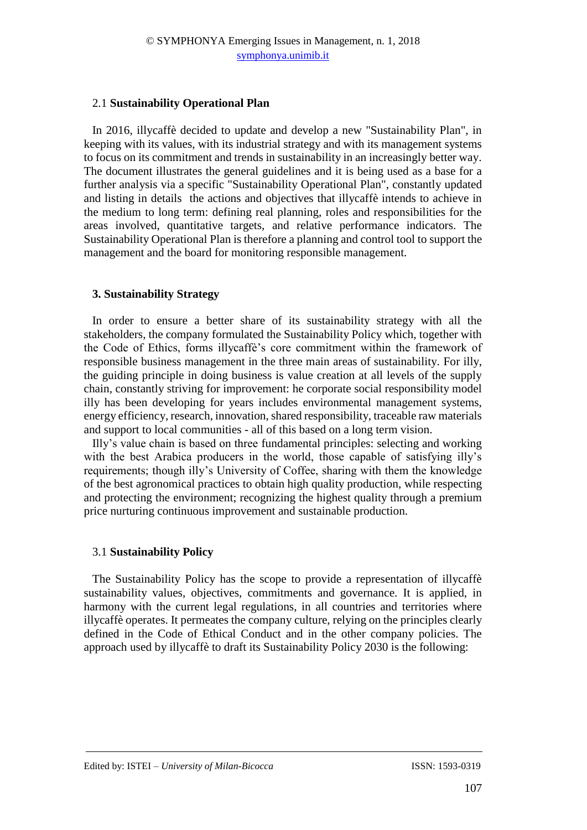# 2.1 **Sustainability Operational Plan**

In 2016, illycaffè decided to update and develop a new "Sustainability Plan", in keeping with its values, with its industrial strategy and with its management systems to focus on its commitment and trends in sustainability in an increasingly better way. The document illustrates the general guidelines and it is being used as a base for a further analysis via a specific "Sustainability Operational Plan", constantly updated and listing in details the actions and objectives that illycaffè intends to achieve in the medium to long term: defining real planning, roles and responsibilities for the areas involved, quantitative targets, and relative performance indicators. The Sustainability Operational Plan is therefore a planning and control tool to support the management and the board for monitoring responsible management.

# **3. Sustainability Strategy**

In order to ensure a better share of its sustainability strategy with all the stakeholders, the company formulated the Sustainability Policy which, together with the Code of Ethics, forms illycaffè's core commitment within the framework of responsible business management in the three main areas of sustainability. For illy, the guiding principle in doing business is value creation at all levels of the supply chain, constantly striving for improvement: he corporate social responsibility model illy has been developing for years includes environmental management systems, energy efficiency, research, innovation, shared responsibility, traceable raw materials and support to local communities - all of this based on a long term vision.

Illy's value chain is based on three fundamental principles: selecting and working with the best Arabica producers in the world, those capable of satisfying illy's requirements; though illy's University of Coffee, sharing with them the knowledge of the best agronomical practices to obtain high quality production, while respecting and protecting the environment; recognizing the highest quality through a premium price nurturing continuous improvement and sustainable production.

### 3.1 **Sustainability Policy**

The Sustainability Policy has the scope to provide a representation of illycaffè sustainability values, objectives, commitments and governance. It is applied, in harmony with the current legal regulations, in all countries and territories where illycaffè operates. It permeates the company culture, relying on the principles clearly defined in the Code of Ethical Conduct and in the other company policies. The approach used by illycaffè to draft its Sustainability Policy 2030 is the following: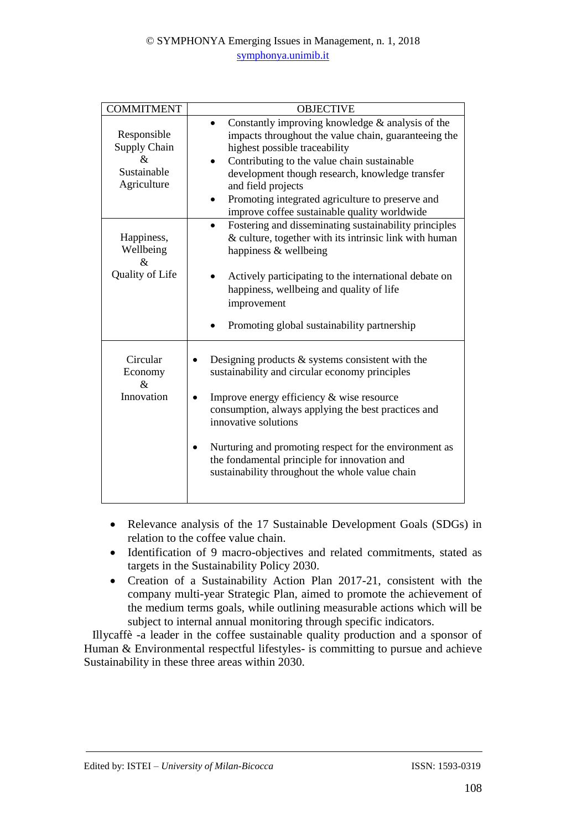| <b>COMMITMENT</b>                                                         | <b>OBJECTIVE</b>                                                                                                                                                                                                                                                                                                                                                                               |
|---------------------------------------------------------------------------|------------------------------------------------------------------------------------------------------------------------------------------------------------------------------------------------------------------------------------------------------------------------------------------------------------------------------------------------------------------------------------------------|
| Responsible<br>Supply Chain<br>&<br>Sustainable<br>Agriculture            | Constantly improving knowledge $\&$ analysis of the<br>impacts throughout the value chain, guaranteeing the<br>highest possible traceability<br>Contributing to the value chain sustainable<br>development though research, knowledge transfer<br>and field projects<br>Promoting integrated agriculture to preserve and<br>improve coffee sustainable quality worldwide                       |
| Happiness,<br>Wellbeing<br>$\mathcal{R}_{\mathcal{L}}$<br>Quality of Life | Fostering and disseminating sustainability principles<br>& culture, together with its intrinsic link with human<br>happiness & wellbeing<br>Actively participating to the international debate on<br>happiness, wellbeing and quality of life<br>improvement<br>Promoting global sustainability partnership                                                                                    |
| Circular<br>Economy<br>$\mathcal{R}_{\mathcal{L}}$<br>Innovation          | Designing products $\&$ systems consistent with the<br>sustainability and circular economy principles<br>Improve energy efficiency & wise resource<br>consumption, always applying the best practices and<br>innovative solutions<br>Nurturing and promoting respect for the environment as<br>the fondamental principle for innovation and<br>sustainability throughout the whole value chain |

- Relevance analysis of the 17 Sustainable Development Goals (SDGs) in relation to the coffee value chain.
- Identification of 9 macro-objectives and related commitments, stated as targets in the Sustainability Policy 2030.
- Creation of a Sustainability Action Plan 2017-21, consistent with the company multi-year Strategic Plan, aimed to promote the achievement of the medium terms goals, while outlining measurable actions which will be subject to internal annual monitoring through specific indicators.

Illycaffè -a leader in the coffee sustainable quality production and a sponsor of Human & Environmental respectful lifestyles- is committing to pursue and achieve Sustainability in these three areas within 2030.